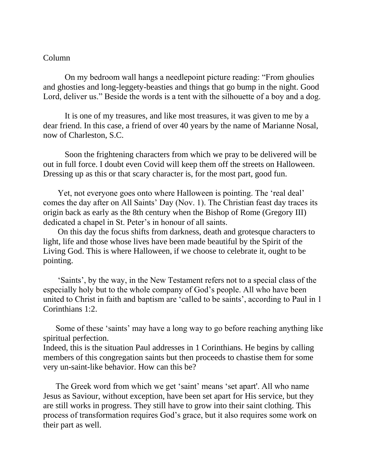## Column

On my bedroom wall hangs a needlepoint picture reading: "From ghoulies and ghosties and long-leggety-beasties and things that go bump in the night. Good Lord, deliver us." Beside the words is a tent with the silhouette of a boy and a dog.

It is one of my treasures, and like most treasures, it was given to me by a dear friend. In this case, a friend of over 40 years by the name of Marianne Nosal, now of Charleston, S.C.

Soon the frightening characters from which we pray to be delivered will be out in full force. I doubt even Covid will keep them off the streets on Halloween. Dressing up as this or that scary character is, for the most part, good fun.

 Yet, not everyone goes onto where Halloween is pointing. The 'real deal' comes the day after on All Saints' Day (Nov. 1). The Christian feast day traces its origin back as early as the 8th century when the Bishop of Rome (Gregory III) dedicated a chapel in St. Peter's in honour of all saints.

 On this day the focus shifts from darkness, death and grotesque characters to light, life and those whose lives have been made beautiful by the Spirit of the Living God. This is where Halloween, if we choose to celebrate it, ought to be pointing.

 'Saints', by the way, in the New Testament refers not to a special class of the especially holy but to the whole company of God's people. All who have been united to Christ in faith and baptism are 'called to be saints', according to Paul in 1 Corinthians 1:2.

 Some of these 'saints' may have a long way to go before reaching anything like spiritual perfection.

Indeed, this is the situation Paul addresses in 1 Corinthians. He begins by calling members of this congregation saints but then proceeds to chastise them for some very un-saint-like behavior. How can this be?

 The Greek word from which we get 'saint' means 'set apart'. All who name Jesus as Saviour, without exception, have been set apart for His service, but they are still works in progress. They still have to grow into their saint clothing. This process of transformation requires God's grace, but it also requires some work on their part as well.